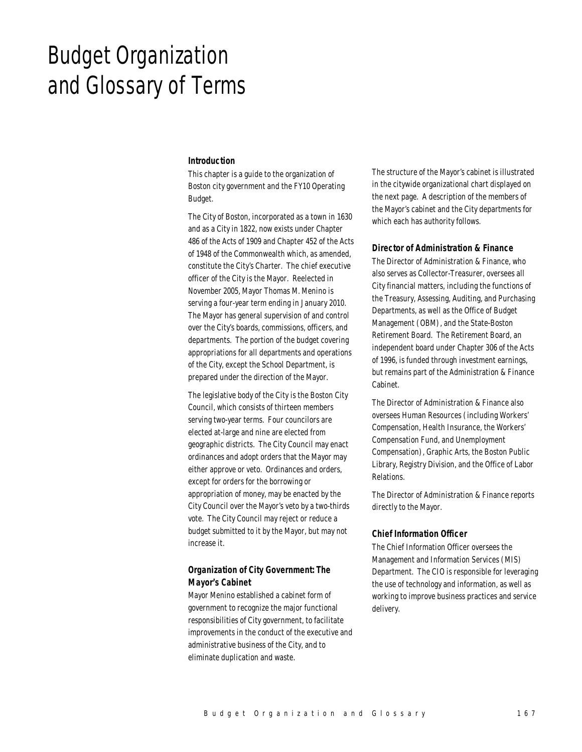# Budget Organization and Glossary of Terms

#### *Introduction*

This chapter is a guide to the organization of Boston city government and the FY10 Operating Budget.

The City of Boston, incorporated as a town in 1630 and as a City in 1822, now exists under Chapter 486 of the Acts of 1909 and Chapter 452 of the Acts of 1948 of the Commonwealth which, as amended, constitute the City's Charter. The chief executive officer of the City is the Mayor. Reelected in November 2005, Mayor Thomas M. Menino is serving a four-year term ending in January 2010. The Mayor has general supervision of and control over the City's boards, commissions, officers, and departments. The portion of the budget covering appropriations for all departments and operations of the City, except the School Department, is prepared under the direction of the Mayor.

The legislative body of the City is the Boston City Council, which consists of thirteen members serving two-year terms. Four councilors are elected at-large and nine are elected from geographic districts. The City Council may enact ordinances and adopt orders that the Mayor may either approve or veto. Ordinances and orders, except for orders for the borrowing or appropriation of money, may be enacted by the City Council over the Mayor's veto by a two-thirds vote. The City Council may reject or reduce a budget submitted to it by the Mayor, but may not increase it.

# *Organization of City Government: The Mayor's Cabinet*

Mayor Menino established a cabinet form of government to recognize the major functional responsibilities of City government, to facilitate improvements in the conduct of the executive and administrative business of the City, and to eliminate duplication and waste.

The structure of the Mayor's cabinet is illustrated in the citywide organizational chart displayed on the next page. A description of the members of the Mayor's cabinet and the City departments for which each has authority follows.

#### *Director of Administration & Finance*

The Director of Administration & Finance, who also serves as Collector-Treasurer, oversees all City financial matters, including the functions of the Treasury, Assessing, Auditing, and Purchasing Departments, as well as the Office of Budget Management (OBM), and the State-Boston Retirement Board. The Retirement Board, an independent board under Chapter 306 of the Acts of 1996, is funded through investment earnings, but remains part of the Administration & Finance Cabinet.

The Director of Administration & Finance also oversees Human Resources (including Workers' Compensation, Health Insurance, the Workers' Compensation Fund, and Unemployment Compensation), Graphic Arts, the Boston Public Library, Registry Division, and the Office of Labor Relations.

The Director of Administration & Finance reports directly to the Mayor.

#### *Chief Information Officer*

The Chief Information Officer oversees the Management and Information Services (MIS) Department. The CIO is responsible for leveraging the use of technology and information, as well as working to improve business practices and service delivery.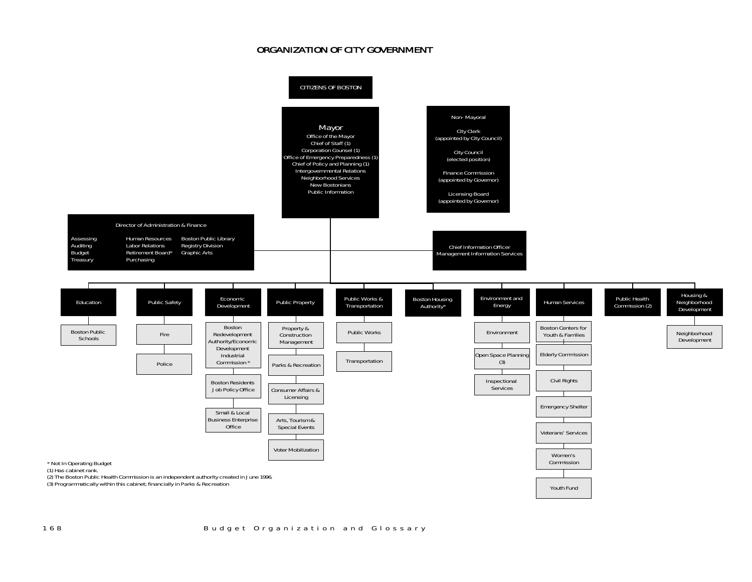# ORGANIZATION OF CITY GOVERNMENT

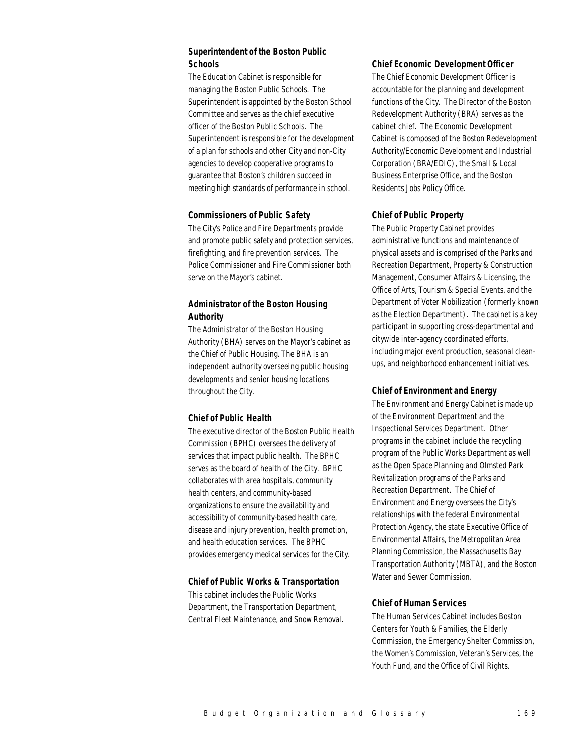# *Superintendent of the Boston Public Schools*

The Education Cabinet is responsible for managing the Boston Public Schools. The Superintendent is appointed by the Boston School Committee and serves as the chief executive officer of the Boston Public Schools. The Superintendent is responsible for the development of a plan for schools and other City and non-City agencies to develop cooperative programs to guarantee that Boston's children succeed in meeting high standards of performance in school.

## *Commissioners of Public Safety*

The City's Police and Fire Departments provide and promote public safety and protection services, firefighting, and fire prevention services. The Police Commissioner and Fire Commissioner both serve on the Mayor's cabinet.

# *Administrator of the Boston Housing Authority*

The Administrator of the Boston Housing Authority (BHA) serves on the Mayor's cabinet as the Chief of Public Housing. The BHA is an independent authority overseeing public housing developments and senior housing locations throughout the City.

## *Chief of Public Health*

The executive director of the Boston Public Health Commission (BPHC) oversees the delivery of services that impact public health. The BPHC serves as the board of health of the City. BPHC collaborates with area hospitals, community health centers, and community-based organizations to ensure the availability and accessibility of community-based health care, disease and injury prevention, health promotion, and health education services. The BPHC provides emergency medical services for the City.

## *Chief of Public Works & Transportation*

This cabinet includes the Public Works Department, the Transportation Department, Central Fleet Maintenance, and Snow Removal.

#### *Chief Economic Development Officer*

The Chief Economic Development Officer is accountable for the planning and development functions of the City. The Director of the Boston Redevelopment Authority (BRA) serves as the cabinet chief. The Economic Development Cabinet is composed of the Boston Redevelopment Authority/Economic Development and Industrial Corporation (BRA/EDIC), the Small & Local Business Enterprise Office, and the Boston Residents Jobs Policy Office.

## *Chief of Public Property*

The Public Property Cabinet provides administrative functions and maintenance of physical assets and is comprised of the Parks and Recreation Department, Property & Construction Management, Consumer Affairs & Licensing, the Office of Arts, Tourism & Special Events, and the Department of Voter Mobilization (formerly known as the Election Department). The cabinet is a key participant in supporting cross-departmental and citywide inter-agency coordinated efforts, including major event production, seasonal cleanups, and neighborhood enhancement initiatives.

## *Chief of Environment and Energy*

The Environment and Energy Cabinet is made up of the Environment Department and the Inspectional Services Department. Other programs in the cabinet include the recycling program of the Public Works Department as well as the Open Space Planning and Olmsted Park Revitalization programs of the Parks and Recreation Department. The Chief of Environment and Energy oversees the City's relationships with the federal Environmental Protection Agency, the state Executive Office of Environmental Affairs, the Metropolitan Area Planning Commission, the Massachusetts Bay Transportation Authority (MBTA), and the Boston Water and Sewer Commission.

## *Chief of Human Services*

The Human Services Cabinet includes Boston Centers for Youth & Families, the Elderly Commission, the Emergency Shelter Commission, the Women's Commission, Veteran's Services, the Youth Fund, and the Office of Civil Rights.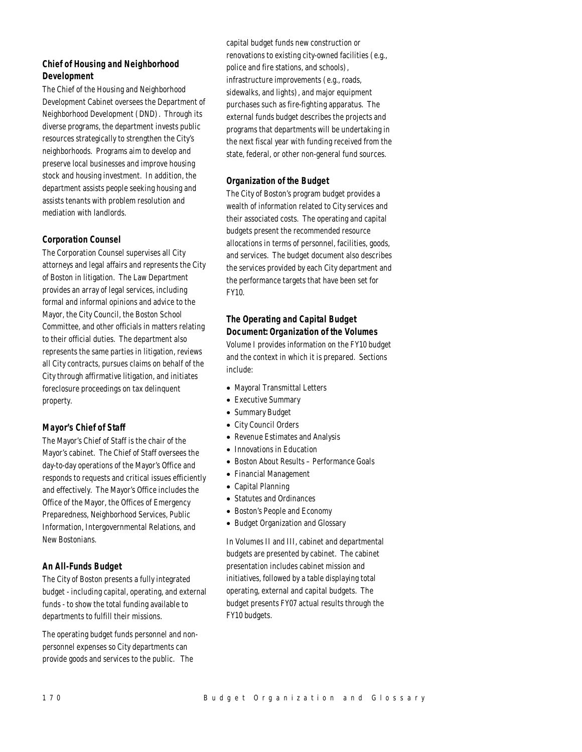# *Chief of Housing and Neighborhood Development*

The Chief of the Housing and Neighborhood Development Cabinet oversees the Department of Neighborhood Development (DND). Through its diverse programs, the department invests public resources strategically to strengthen the City's neighborhoods. Programs aim to develop and preserve local businesses and improve housing stock and housing investment. In addition, the department assists people seeking housing and assists tenants with problem resolution and mediation with landlords.

## *Corporation Counsel*

The Corporation Counsel supervises all City attorneys and legal affairs and represents the City of Boston in litigation. The Law Department provides an array of legal services, including formal and informal opinions and advice to the Mayor, the City Council, the Boston School Committee, and other officials in matters relating to their official duties. The department also represents the same parties in litigation, reviews all City contracts, pursues claims on behalf of the City through affirmative litigation, and initiates foreclosure proceedings on tax delinquent property.

## *Mayor's Chief of Staff*

The Mayor's Chief of Staff is the chair of the Mayor's cabinet. The Chief of Staff oversees the day-to-day operations of the Mayor's Office and responds to requests and critical issues efficiently and effectively. The Mayor's Office includes the Office of the Mayor, the Offices of Emergency Preparedness, Neighborhood Services, Public Information, Intergovernmental Relations, and New Bostonians.

## *An All-Funds Budget*

The City of Boston presents a fully integrated budget - including capital, operating, and external funds - to show the total funding available to departments to fulfill their missions.

The operating budget funds personnel and nonpersonnel expenses so City departments can provide goods and services to the public. The

capital budget funds new construction or renovations to existing city-owned facilities (e.g., police and fire stations, and schools), infrastructure improvements (e.g., roads, sidewalks, and lights), and major equipment purchases such as fire-fighting apparatus. The external funds budget describes the projects and programs that departments will be undertaking in the next fiscal year with funding received from the state, federal, or other non-general fund sources.

# *Organization of the Budget*

The City of Boston's program budget provides a wealth of information related to City services and their associated costs. The operating and capital budgets present the recommended resource allocations in terms of personnel, facilities, goods, and services. The budget document also describes the services provided by each City department and the performance targets that have been set for FY10.

# *The Operating and Capital Budget Document: Organization of the Volumes*

Volume I provides information on the FY10 budget and the context in which it is prepared. Sections include:

- Mayoral Transmittal Letters
- Executive Summary
- Summary Budget
- City Council Orders
- Revenue Estimates and Analysis
- Innovations in Education
- Boston About Results Performance Goals
- Financial Management
- Capital Planning
- Statutes and Ordinances
- Boston's People and Economy
- Budget Organization and Glossary

In Volumes II and III, cabinet and departmental budgets are presented by cabinet. The cabinet presentation includes cabinet mission and initiatives, followed by a table displaying total operating, external and capital budgets. The budget presents FY07 actual results through the FY10 budgets.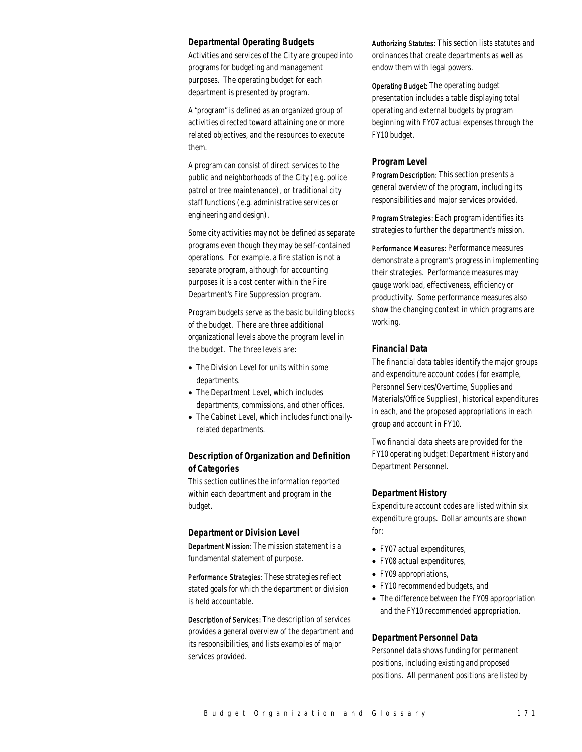#### *Departmental Operating Budgets*

Activities and services of the City are grouped into programs for budgeting and management purposes. The operating budget for each department is presented by program.

A "program" is defined as an organized group of activities directed toward attaining one or more related objectives, and the resources to execute them.

A program can consist of direct services to the public and neighborhoods of the City (e.g. police patrol or tree maintenance), or traditional city staff functions (e.g. administrative services or engineering and design).

Some city activities may not be defined as separate programs even though they may be self-contained operations. For example, a fire station is not a separate program, although for accounting purposes it is a cost center within the Fire Department's Fire Suppression program.

Program budgets serve as the basic building blocks of the budget. There are three additional organizational levels above the program level in the budget. The three levels are:

- The Division Level for units within some departments.
- The Department Level, which includes departments, commissions, and other offices.
- The Cabinet Level, which includes functionallyrelated departments.

## *Description of Organization and Definition of Categories*

This section outlines the information reported within each department and program in the budget.

## *Department or Division Level*

Department Mission: The mission statement is a fundamental statement of purpose.

Performance Strategies: These strategies reflect stated goals for which the department or division is held accountable.

Description of Services: The description of services provides a general overview of the department and its responsibilities, and lists examples of major services provided.

Authorizing Statutes: This section lists statutes and ordinances that create departments as well as endow them with legal powers.

Operating Budget: The operating budget presentation includes a table displaying total operating and external budgets by program beginning with FY07 actual expenses through the FY10 budget.

#### *Program Level*

Program Description: This section presents a general overview of the program, including its responsibilities and major services provided.

Program Strategies: Each program identifies its strategies to further the department's mission.

Performance Measures: Performance measures demonstrate a program's progress in implementing their strategies. Performance measures may gauge workload, effectiveness, efficiency or productivity. Some performance measures also show the changing context in which programs are working.

## *Financial Data*

The financial data tables identify the major groups and expenditure account codes (for example, Personnel Services/Overtime, Supplies and Materials/Office Supplies), historical expenditures in each, and the proposed appropriations in each group and account in FY10.

Two financial data sheets are provided for the FY10 operating budget: Department History and Department Personnel.

#### *Department History*

Expenditure account codes are listed within six expenditure groups. Dollar amounts are shown for:

- FY07 actual expenditures,
- FY08 actual expenditures,
- FY09 appropriations,
- FY10 recommended budgets, and
- The difference between the FY09 appropriation and the FY10 recommended appropriation.

## *Department Personnel Data*

Personnel data shows funding for permanent positions, including existing and proposed positions. All permanent positions are listed by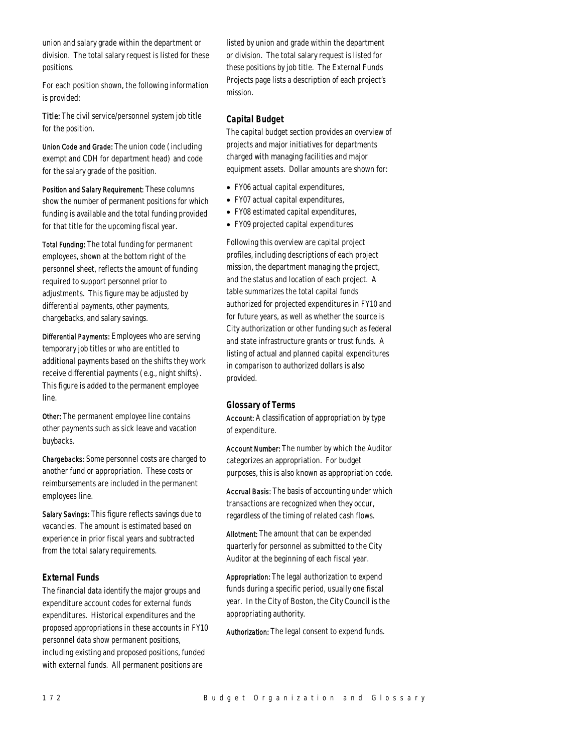union and salary grade within the department or division. The total salary request is listed for these positions.

For each position shown, the following information is provided:

Title: The civil service/personnel system job title for the position.

Union Code and Grade: The union code (including exempt and CDH for department head) and code for the salary grade of the position.

Position and Salary Requirement: These columns show the number of permanent positions for which funding is available and the total funding provided for that title for the upcoming fiscal year.

Total Funding: The total funding for permanent employees, shown at the bottom right of the personnel sheet, reflects the amount of funding required to support personnel prior to adjustments. This figure may be adjusted by differential payments, other payments, chargebacks, and salary savings.

Differential Payments: Employees who are serving temporary job titles or who are entitled to additional payments based on the shifts they work receive differential payments (e.g., night shifts). This figure is added to the permanent employee line.

Other: The permanent employee line contains other payments such as sick leave and vacation buybacks.

Chargebacks: Some personnel costs are charged to another fund or appropriation. These costs or reimbursements are included in the permanent employees line.

Salary Savings: This figure reflects savings due to vacancies. The amount is estimated based on experience in prior fiscal years and subtracted from the total salary requirements.

## *External Funds*

The financial data identify the major groups and expenditure account codes for external funds expenditures. Historical expenditures and the proposed appropriations in these accounts in FY10 personnel data show permanent positions, including existing and proposed positions, funded with external funds. All permanent positions are

listed by union and grade within the department or division. The total salary request is listed for these positions by job title. The External Funds Projects page lists a description of each project's mission.

## *Capital Budget*

The capital budget section provides an overview of projects and major initiatives for departments charged with managing facilities and major equipment assets. Dollar amounts are shown for:

- FY06 actual capital expenditures,
- FY07 actual capital expenditures,
- FY08 estimated capital expenditures,
- FY09 projected capital expenditures

Following this overview are capital project profiles, including descriptions of each project mission, the department managing the project, and the status and location of each project. A table summarizes the total capital funds authorized for projected expenditures in FY10 and for future years, as well as whether the source is City authorization or other funding such as federal and state infrastructure grants or trust funds. A listing of actual and planned capital expenditures in comparison to authorized dollars is also provided.

## *Glossary of Terms*

Account: A classification of appropriation by type of expenditure.

Account Number: The number by which the Auditor categorizes an appropriation. For budget purposes, this is also known as appropriation code.

Accrual Basis: The basis of accounting under which transactions are recognized when they occur, regardless of the timing of related cash flows.

Allotment: The amount that can be expended quarterly for personnel as submitted to the City Auditor at the beginning of each fiscal year.

Appropriation: The legal authorization to expend funds during a specific period, usually one fiscal year. In the City of Boston, the City Council is the appropriating authority.

Authorization: The legal consent to expend funds.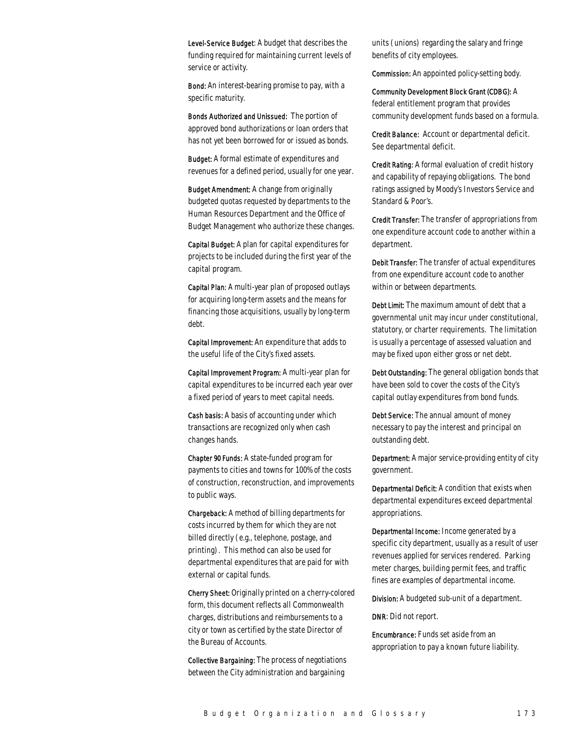Level-Service Budget: A budget that describes the funding required for maintaining current levels of service or activity.

Bond: An interest-bearing promise to pay, with a specific maturity.

Bonds Authorized and Unissued: The portion of approved bond authorizations or loan orders that has not yet been borrowed for or issued as bonds.

Budget: A formal estimate of expenditures and revenues for a defined period, usually for one year.

Budget Amendment: A change from originally budgeted quotas requested by departments to the Human Resources Department and the Office of Budget Management who authorize these changes.

Capital Budget: A plan for capital expenditures for projects to be included during the first year of the capital program.

Capital Plan: A multi-year plan of proposed outlays for acquiring long-term assets and the means for financing those acquisitions, usually by long-term debt.

Capital Improvement: An expenditure that adds to the useful life of the City's fixed assets.

Capital Improvement Program: A multi-year plan for capital expenditures to be incurred each year over a fixed period of years to meet capital needs.

Cash basis: A basis of accounting under which transactions are recognized only when cash changes hands.

Chapter 90 Funds: A state-funded program for payments to cities and towns for 100% of the costs of construction, reconstruction, and improvements to public ways.

Chargeback: A method of billing departments for costs incurred by them for which they are not billed directly (e.g., telephone, postage, and printing). This method can also be used for departmental expenditures that are paid for with external or capital funds.

Cherry Sheet: Originally printed on a cherry-colored form, this document reflects all Commonwealth charges, distributions and reimbursements to a city or town as certified by the state Director of the Bureau of Accounts.

Collective Bargaining: The process of negotiations between the City administration and bargaining

units (unions) regarding the salary and fringe benefits of city employees.

Commission: An appointed policy-setting body.

Community Development Block Grant (CDBG): A federal entitlement program that provides community development funds based on a formula.

Credit Balance: Account or departmental deficit. See departmental deficit.

Credit Rating: A formal evaluation of credit history and capability of repaying obligations. The bond ratings assigned by Moody's Investors Service and Standard & Poor's.

Credit Transfer: The transfer of appropriations from one expenditure account code to another within a department.

Debit Transfer: The transfer of actual expenditures from one expenditure account code to another within or between departments.

Debt Limit: The maximum amount of debt that a governmental unit may incur under constitutional, statutory, or charter requirements. The limitation is usually a percentage of assessed valuation and may be fixed upon either gross or net debt.

Debt Outstanding: The general obligation bonds that have been sold to cover the costs of the City's capital outlay expenditures from bond funds.

Debt Service: The annual amount of money necessary to pay the interest and principal on outstanding debt.

Department: A major service-providing entity of city government.

Departmental Deficit: A condition that exists when departmental expenditures exceed departmental appropriations.

Departmental Income: Income generated by a specific city department, usually as a result of user revenues applied for services rendered. Parking meter charges, building permit fees, and traffic fines are examples of departmental income.

Division: A budgeted sub-unit of a department.

DNR: Did not report.

Encumbrance: Funds set aside from an appropriation to pay a known future liability.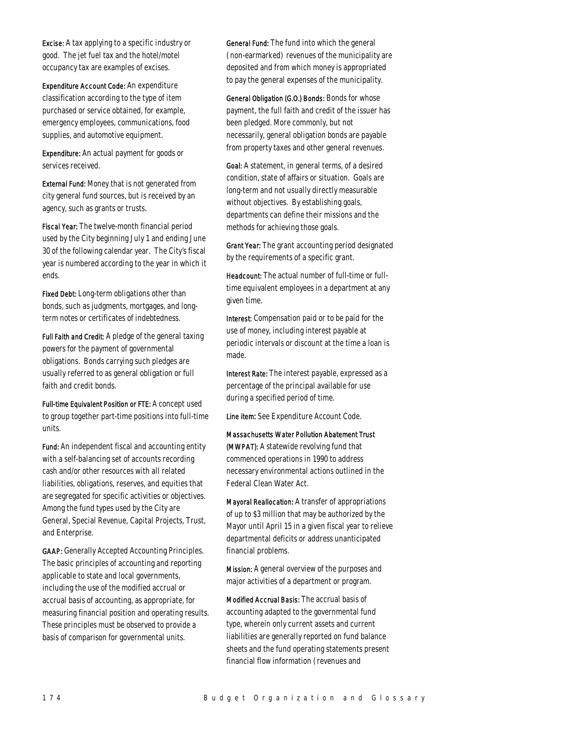Excise: A tax applying to a specific industry or good. The jet fuel tax and the hotel/motel occupancy tax are examples of excises.

Expenditure Account Code: An expenditure classification according to the type of item purchased or service obtained, for example, emergency employees, communications, food supplies, and automotive equipment.

Expenditure: An actual payment for goods or services received.

External Fund: Money that is not generated from city general fund sources, but is received by an agency, such as grants or trusts.

Fiscal Year: The twelve-month financial period used by the City beginning July 1 and ending June 30 of the following calendar year. The City's fiscal year is numbered according to the year in which it ends.

Fixed Debt: Long-term obligations other than bonds, such as judgments, mortgages, and longterm notes or certificates of indebtedness.

Full Faith and Credit: A pledge of the general taxing powers for the payment of governmental obligations. Bonds carrying such pledges are usually referred to as general obligation or full faith and credit bonds.

Full-time Equivalent Position or FTE: A concept used to group together part-time positions into full-time units.

Fund: An independent fiscal and accounting entity with a self-balancing set of accounts recording cash and/or other resources with all related liabilities, obligations, reserves, and equities that are segregated for specific activities or objectives. Among the fund types used by the City are General, Special Revenue, Capital Projects, Trust, and Enterprise.

GAAP: Generally Accepted Accounting Principles. The basic principles of accounting and reporting applicable to state and local governments, including the use of the modified accrual or accrual basis of accounting, as appropriate, for measuring financial position and operating results. These principles must be observed to provide a basis of comparison for governmental units.

General Fund: The fund into which the general (non-earmarked) revenues of the municipality are deposited and from which money is appropriated to pay the general expenses of the municipality.

General Obligation (G.O.) Bonds: Bonds for whose payment, the full faith and credit of the issuer has been pledged. More commonly, but not necessarily, general obligation bonds are payable from property taxes and other general revenues.

Goal: A statement, in general terms, of a desired condition, state of affairs or situation. Goals are long-term and not usually directly measurable without objectives. By establishing goals, departments can define their missions and the methods for achieving those goals.

Grant Year: The grant accounting period designated by the requirements of a specific grant.

Headcount: The actual number of full-time or fulltime equivalent employees in a department at any given time.

Interest: Compensation paid or to be paid for the use of money, including interest payable at periodic intervals or discount at the time a loan is made.

Interest Rate: The interest payable, expressed as a percentage of the principal available for use during a specified period of time.

Line item: See Expenditure Account Code.

Massachusetts Water Pollution Abatement Trust (MWPAT): A statewide revolving fund that commenced operations in 1990 to address necessary environmental actions outlined in the Federal Clean Water Act.

Mayoral Reallocation: A transfer of appropriations of up to \$3 million that may be authorized by the Mayor until April 15 in a given fiscal year to relieve departmental deficits or address unanticipated financial problems.

Mission: A general overview of the purposes and major activities of a department or program.

Modified Accrual Basis: The accrual basis of accounting adapted to the governmental fund type, wherein only current assets and current liabilities are generally reported on fund balance sheets and the fund operating statements present financial flow information (revenues and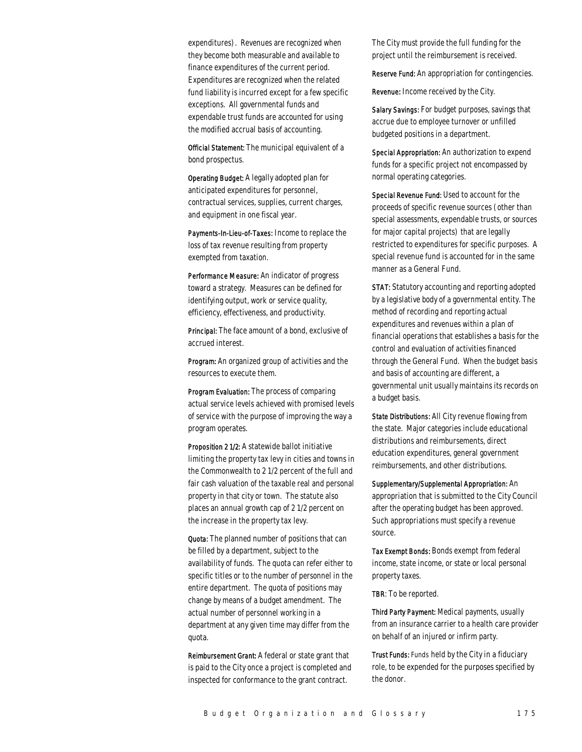expenditures). Revenues are recognized when they become both measurable and available to finance expenditures of the current period. Expenditures are recognized when the related fund liability is incurred except for a few specific exceptions. All governmental funds and expendable trust funds are accounted for using the modified accrual basis of accounting.

Official Statement: The municipal equivalent of a bond prospectus.

Operating Budget: A legally adopted plan for anticipated expenditures for personnel, contractual services, supplies, current charges, and equipment in one fiscal year.

Payments-In-Lieu-of-Taxes: Income to replace the loss of tax revenue resulting from property exempted from taxation.

Performance Measure: An indicator of progress toward a strategy. Measures can be defined for identifying output, work or service quality, efficiency, effectiveness, and productivity.

Principal: The face amount of a bond, exclusive of accrued interest.

Program: An organized group of activities and the resources to execute them.

Program Evaluation: The process of comparing actual service levels achieved with promised levels of service with the purpose of improving the way a program operates.

Proposition 2 1/2: A statewide ballot initiative limiting the property tax levy in cities and towns in the Commonwealth to 2 1/2 percent of the full and fair cash valuation of the taxable real and personal property in that city or town. The statute also places an annual growth cap of 2 1/2 percent on the increase in the property tax levy.

Quota: The planned number of positions that can be filled by a department, subject to the availability of funds. The quota can refer either to specific titles or to the number of personnel in the entire department. The quota of positions may change by means of a budget amendment. The actual number of personnel working in a department at any given time may differ from the quota.

Reimbursement Grant: A federal or state grant that is paid to the City once a project is completed and inspected for conformance to the grant contract.

The City must provide the full funding for the project until the reimbursement is received.

Reserve Fund: An appropriation for contingencies.

Revenue: Income received by the City.

Salary Savings: For budget purposes, savings that accrue due to employee turnover or unfilled budgeted positions in a department.

Special Appropriation: An authorization to expend funds for a specific project not encompassed by normal operating categories.

Special Revenue Fund: Used to account for the proceeds of specific revenue sources (other than special assessments, expendable trusts, or sources for major capital projects) that are legally restricted to expenditures for specific purposes. A special revenue fund is accounted for in the same manner as a General Fund.

STAT: Statutory accounting and reporting adopted by a legislative body of a governmental entity. The method of recording and reporting actual expenditures and revenues within a plan of financial operations that establishes a basis for the control and evaluation of activities financed through the General Fund. When the budget basis and basis of accounting are different, a governmental unit usually maintains its records on a budget basis.

State Distributions: All City revenue flowing from the state. Major categories include educational distributions and reimbursements, direct education expenditures, general government reimbursements, and other distributions.

Supplementary/Supplemental Appropriation: An appropriation that is submitted to the City Council after the operating budget has been approved. Such appropriations must specify a revenue source.

Tax Exempt Bonds: Bonds exempt from federal income, state income, or state or local personal property taxes.

TBR: To be reported.

Third Party Payment: Medical payments, usually from an insurance carrier to a health care provider on behalf of an injured or infirm party.

Trust Funds: Funds held by the City in a fiduciary role, to be expended for the purposes specified by the donor.